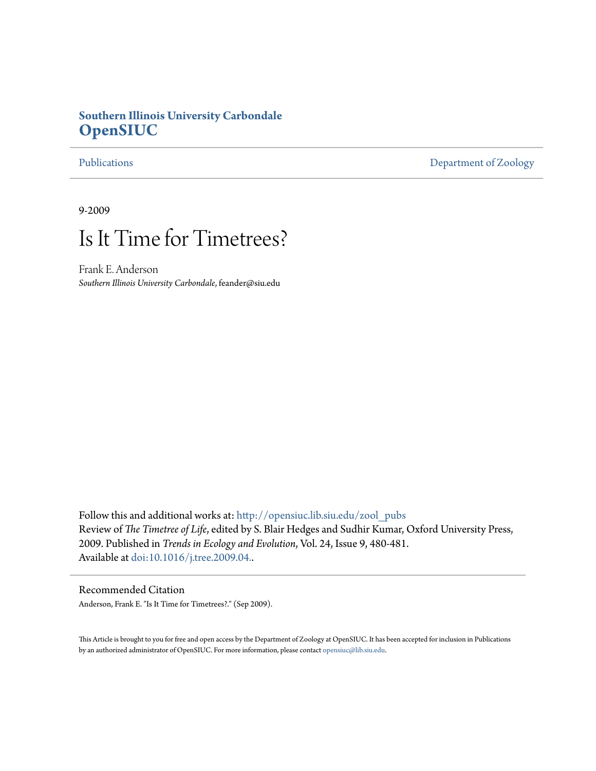## **Southern Illinois University Carbondale [OpenSIUC](http://opensiuc.lib.siu.edu?utm_source=opensiuc.lib.siu.edu%2Fzool_pubs%2F3&utm_medium=PDF&utm_campaign=PDFCoverPages)**

[Publications](http://opensiuc.lib.siu.edu/zool_pubs?utm_source=opensiuc.lib.siu.edu%2Fzool_pubs%2F3&utm_medium=PDF&utm_campaign=PDFCoverPages) [Department of Zoology](http://opensiuc.lib.siu.edu/zool?utm_source=opensiuc.lib.siu.edu%2Fzool_pubs%2F3&utm_medium=PDF&utm_campaign=PDFCoverPages)

9-2009

# Is It Time for Timetrees?

Frank E. Anderson *Southern Illinois University Carbondale*, feander@siu.edu

Follow this and additional works at: [http://opensiuc.lib.siu.edu/zool\\_pubs](http://opensiuc.lib.siu.edu/zool_pubs?utm_source=opensiuc.lib.siu.edu%2Fzool_pubs%2F3&utm_medium=PDF&utm_campaign=PDFCoverPages) Review of *The Timetree of Life*, edited by S. Blair Hedges and Sudhir Kumar, Oxford University Press, 2009. Published in *Trends in Ecology and Evolution*, Vol. 24, Issue 9, 480-481. Available at [doi:10.1016/j.tree.2009.04..](http://dx.doi.org/10.1016/j.tree.2009.04.004)

### Recommended Citation

Anderson, Frank E. "Is It Time for Timetrees?." (Sep 2009).

This Article is brought to you for free and open access by the Department of Zoology at OpenSIUC. It has been accepted for inclusion in Publications by an authorized administrator of OpenSIUC. For more information, please contact [opensiuc@lib.siu.edu.](mailto:opensiuc@lib.siu.edu)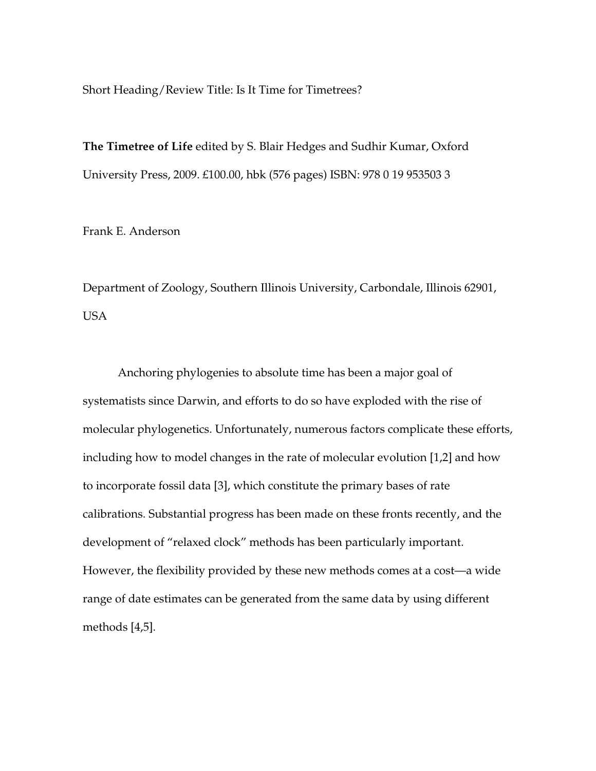Short Heading/Review Title: Is It Time for Timetrees?

**The Timetree of Life** edited by S. Blair Hedges and Sudhir Kumar, Oxford University Press, 2009. £100.00, hbk (576 pages) ISBN: 978 0 19 953503 3

Frank E. Anderson

Department of Zoology, Southern Illinois University, Carbondale, Illinois 62901, USA

Anchoring phylogenies to absolute time has been a major goal of systematists since Darwin, and efforts to do so have exploded with the rise of molecular phylogenetics. Unfortunately, numerous factors complicate these efforts, including how to model changes in the rate of molecular evolution [1,2] and how to incorporate fossil data [3], which constitute the primary bases of rate calibrations. Substantial progress has been made on these fronts recently, and the development of "relaxed clock" methods has been particularly important. However, the flexibility provided by these new methods comes at a cost—a wide range of date estimates can be generated from the same data by using different methods [4,5].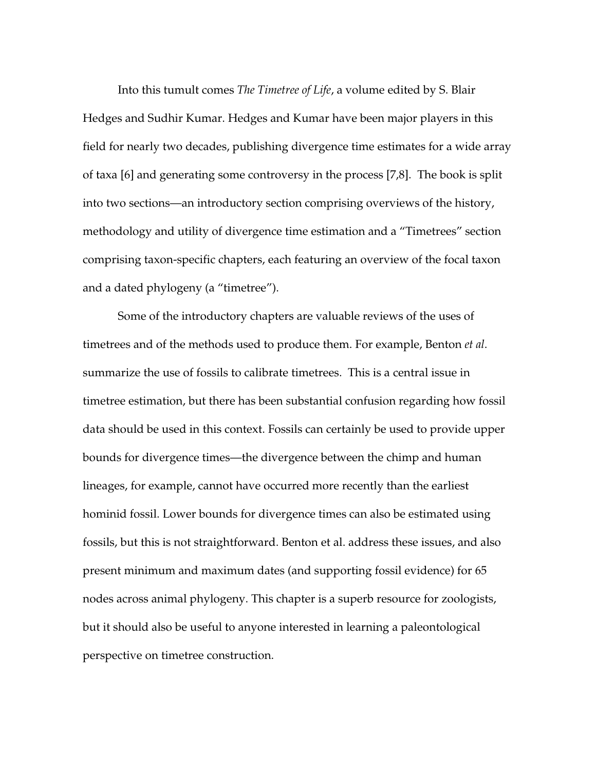Into this tumult comes *The Timetree of Life*, a volume edited by S. Blair Hedges and Sudhir Kumar. Hedges and Kumar have been major players in this field for nearly two decades, publishing divergence time estimates for a wide array of taxa [6] and generating some controversy in the process [7,8]. The book is split into two sections—an introductory section comprising overviews of the history, methodology and utility of divergence time estimation and a "Timetrees" section comprising taxon-specific chapters, each featuring an overview of the focal taxon and a dated phylogeny (a "timetree").

Some of the introductory chapters are valuable reviews of the uses of timetrees and of the methods used to produce them. For example, Benton *et al*. summarize the use of fossils to calibrate timetrees. This is a central issue in timetree estimation, but there has been substantial confusion regarding how fossil data should be used in this context. Fossils can certainly be used to provide upper bounds for divergence times—the divergence between the chimp and human lineages, for example, cannot have occurred more recently than the earliest hominid fossil. Lower bounds for divergence times can also be estimated using fossils, but this is not straightforward. Benton et al. address these issues, and also present minimum and maximum dates (and supporting fossil evidence) for 65 nodes across animal phylogeny. This chapter is a superb resource for zoologists, but it should also be useful to anyone interested in learning a paleontological perspective on timetree construction.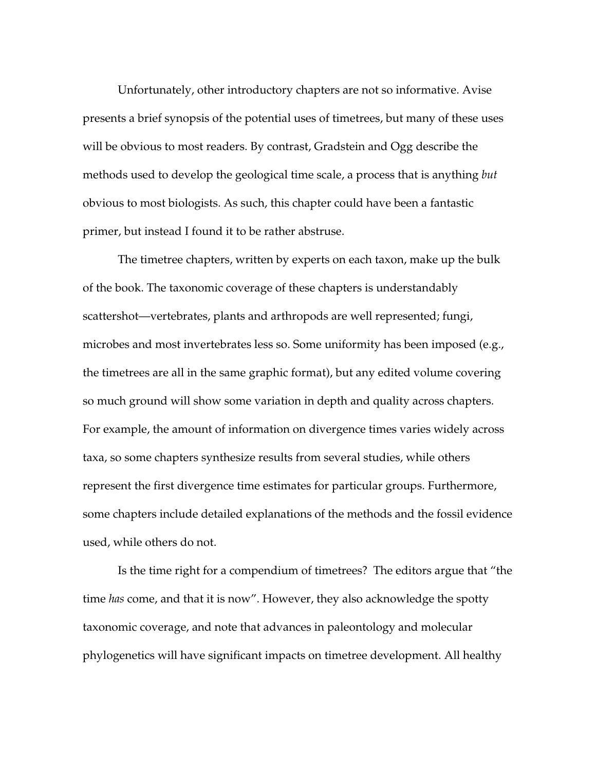Unfortunately, other introductory chapters are not so informative. Avise presents a brief synopsis of the potential uses of timetrees, but many of these uses will be obvious to most readers. By contrast, Gradstein and Ogg describe the methods used to develop the geological time scale, a process that is anything *but* obvious to most biologists. As such, this chapter could have been a fantastic primer, but instead I found it to be rather abstruse.

The timetree chapters, written by experts on each taxon, make up the bulk of the book. The taxonomic coverage of these chapters is understandably scattershot—vertebrates, plants and arthropods are well represented; fungi, microbes and most invertebrates less so. Some uniformity has been imposed (e.g., the timetrees are all in the same graphic format), but any edited volume covering so much ground will show some variation in depth and quality across chapters. For example, the amount of information on divergence times varies widely across taxa, so some chapters synthesize results from several studies, while others represent the first divergence time estimates for particular groups. Furthermore, some chapters include detailed explanations of the methods and the fossil evidence used, while others do not.

Is the time right for a compendium of timetrees? The editors argue that "the time *has* come, and that it is now". However, they also acknowledge the spotty taxonomic coverage, and note that advances in paleontology and molecular phylogenetics will have significant impacts on timetree development. All healthy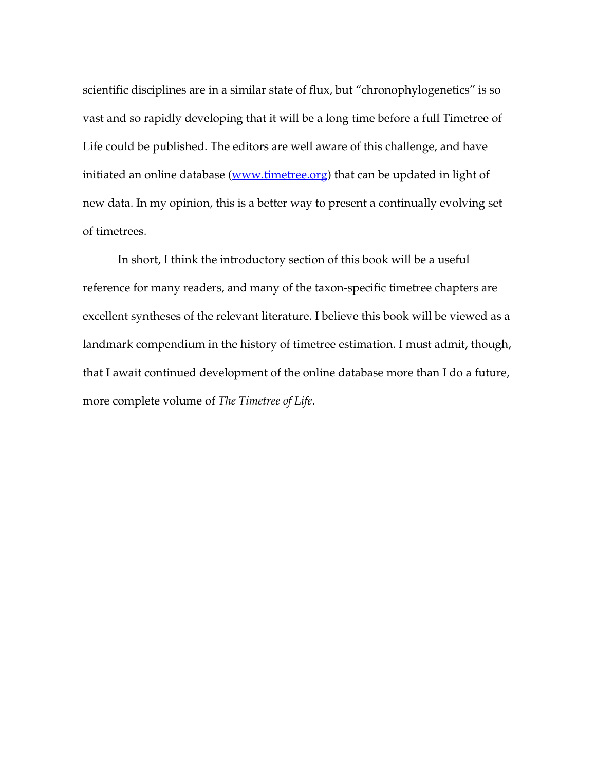scientific disciplines are in a similar state of flux, but "chronophylogenetics" is so vast and so rapidly developing that it will be a long time before a full Timetree of Life could be published. The editors are well aware of this challenge, and have initiated an online database (www.timetree.org) that can be updated in light of new data. In my opinion, this is a better way to present a continually evolving set of timetrees.

In short, I think the introductory section of this book will be a useful reference for many readers, and many of the taxon-specific timetree chapters are excellent syntheses of the relevant literature. I believe this book will be viewed as a landmark compendium in the history of timetree estimation. I must admit, though, that I await continued development of the online database more than I do a future, more complete volume of *The Timetree of Life*.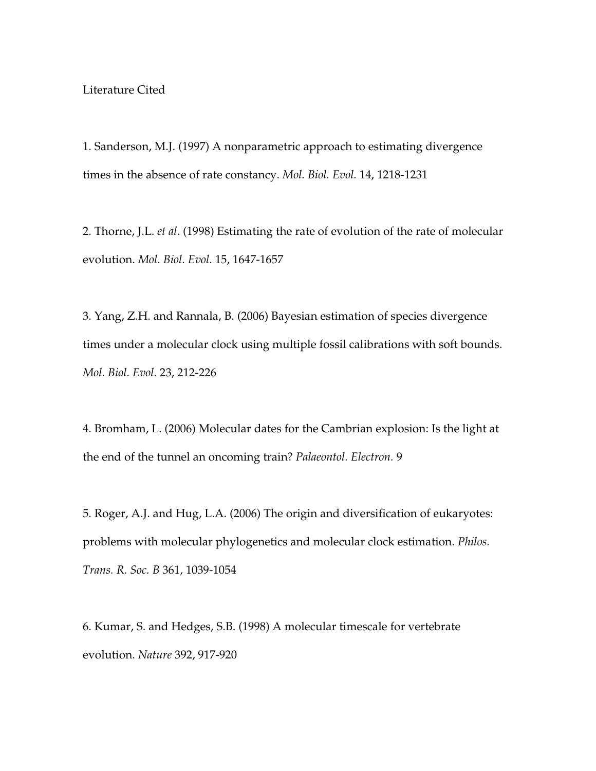### Literature Cited

1. Sanderson, M.J. (1997) A nonparametric approach to estimating divergence times in the absence of rate constancy. *Mol. Biol. Evol.* 14, 1218-1231

2. Thorne, J.L. *et al*. (1998) Estimating the rate of evolution of the rate of molecular evolution. *Mol. Biol. Evol.* 15, 1647-1657

3. Yang, Z.H. and Rannala, B. (2006) Bayesian estimation of species divergence times under a molecular clock using multiple fossil calibrations with soft bounds. *Mol. Biol. Evol.* 23, 212-226

4. Bromham, L. (2006) Molecular dates for the Cambrian explosion: Is the light at the end of the tunnel an oncoming train? *Palaeontol. Electron.* 9

5. Roger, A.J. and Hug, L.A. (2006) The origin and diversification of eukaryotes: problems with molecular phylogenetics and molecular clock estimation. *Philos. Trans. R. Soc. B* 361, 1039-1054

6. Kumar, S. and Hedges, S.B. (1998) A molecular timescale for vertebrate evolution. *Nature* 392, 917-920